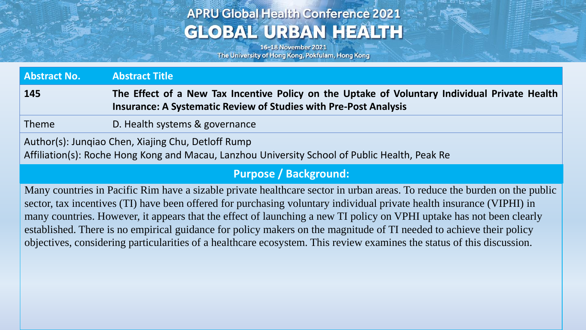# **APRU Global Health Conference 2021 GLOBAL URBAN HEALTH**

16-18 November 2021 The University of Hong Kong, Pokfulam, Hong Kong

| <b>Abstract No.</b>                                                                                                                                  | <b>Abstract Title</b>                                                                                                                                                    |
|------------------------------------------------------------------------------------------------------------------------------------------------------|--------------------------------------------------------------------------------------------------------------------------------------------------------------------------|
| 145                                                                                                                                                  | The Effect of a New Tax Incentive Policy on the Uptake of Voluntary Individual Private Health<br><b>Insurance: A Systematic Review of Studies with Pre-Post Analysis</b> |
| Theme                                                                                                                                                | D. Health systems & governance                                                                                                                                           |
| Author(s): Jungiao Chen, Xiajing Chu, Detloff Rump<br>Affiliation(s): Roche Hong Kong and Macau, Lanzhou University School of Public Health, Peak Re |                                                                                                                                                                          |

#### **Purpose / Background:**

Many countries in Pacific Rim have a sizable private healthcare sector in urban areas. To reduce the burden on the public sector, tax incentives (TI) have been offered for purchasing voluntary individual private health insurance (VIPHI) in many countries. However, it appears that the effect of launching a new TI policy on VPHI uptake has not been clearly established. There is no empirical guidance for policy makers on the magnitude of TI needed to achieve their policy objectives, considering particularities of a healthcare ecosystem. This review examines the status of this discussion.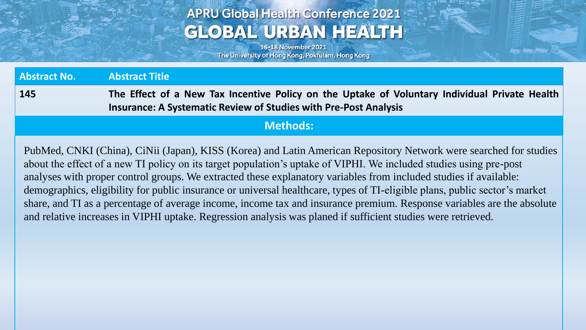# **APRU Global Health Conference 2021 GLOBAL URBAN HEALTH**

16-18 November 2021 The University of Hong Kong, Pokfulam, Hong Kong

| <b>Abstract No.</b>                                                                                                                                                                                                                                                                                                                                                                                                                                                                                                                                                                                                  | <b>Abstract Title</b>                                                                                                                                                    |
|----------------------------------------------------------------------------------------------------------------------------------------------------------------------------------------------------------------------------------------------------------------------------------------------------------------------------------------------------------------------------------------------------------------------------------------------------------------------------------------------------------------------------------------------------------------------------------------------------------------------|--------------------------------------------------------------------------------------------------------------------------------------------------------------------------|
| 145                                                                                                                                                                                                                                                                                                                                                                                                                                                                                                                                                                                                                  | The Effect of a New Tax Incentive Policy on the Uptake of Voluntary Individual Private Health<br><b>Insurance: A Systematic Review of Studies with Pre-Post Analysis</b> |
|                                                                                                                                                                                                                                                                                                                                                                                                                                                                                                                                                                                                                      | <b>Methods:</b>                                                                                                                                                          |
| PubMed, CNKI (China), CiNii (Japan), KISS (Korea) and Latin American Repository Network were searched for studies<br>about the effect of a new TI policy on its target population's uptake of VIPHI. We included studies using pre-post<br>analyses with proper control groups. We extracted these explanatory variables from included studies if available:<br>demographics, eligibility for public insurance or universal healthcare, types of TI-eligible plans, public sector's market<br>share, and TI as a percentage of average income, income tax and insurance premium. Response variables are the absolute |                                                                                                                                                                          |
| and relative increases in VIPHI uptake. Regression analysis was planed if sufficient studies were retrieved.                                                                                                                                                                                                                                                                                                                                                                                                                                                                                                         |                                                                                                                                                                          |